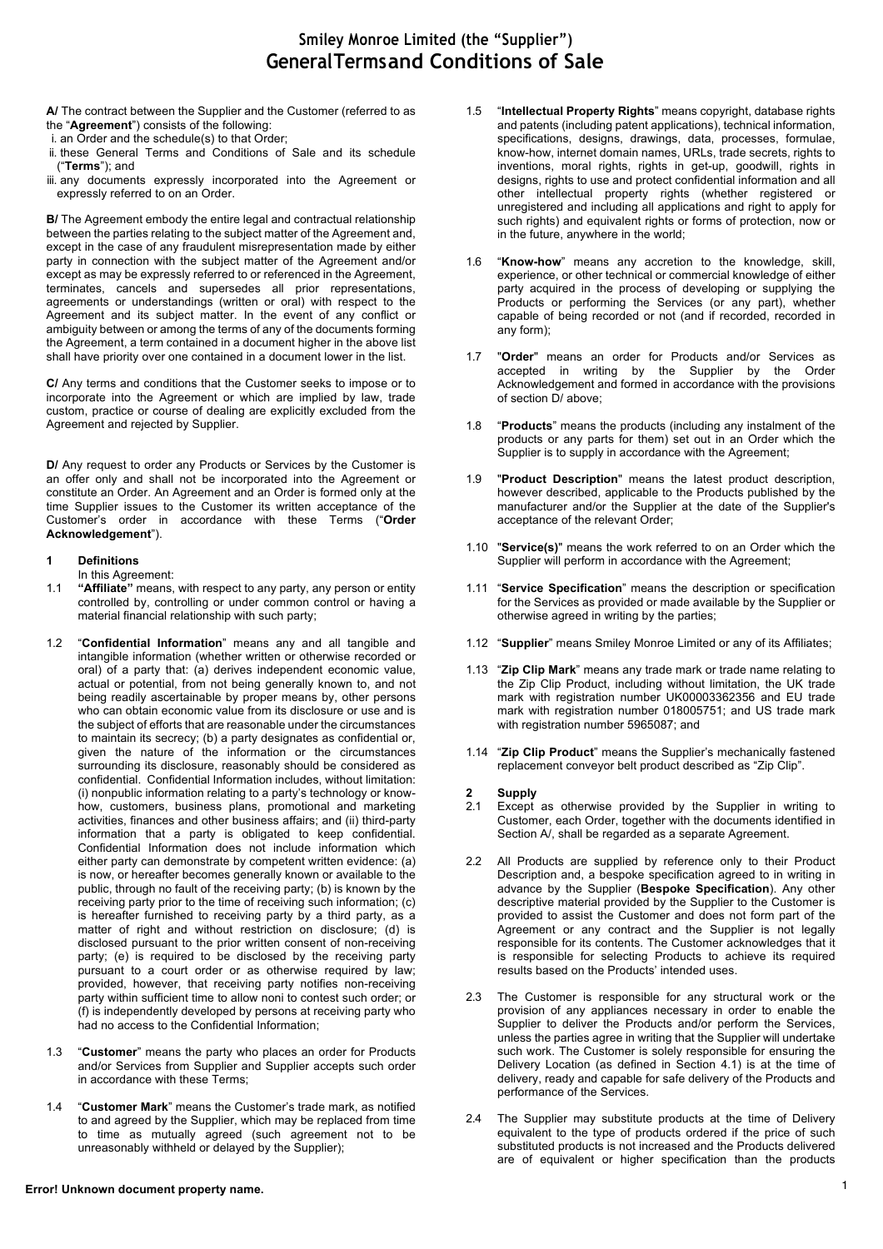**A/** The contract between the Supplier and the Customer (referred to as the "**Agreement**") consists of the following:

- i. an Order and the schedule(s) to that Order;
- ii. these General Terms and Conditions of Sale and its schedule ("**Terms**"); and
- iii. any documents expressly incorporated into the Agreement or expressly referred to on an Order.

**B/** The Agreement embody the entire legal and contractual relationship between the parties relating to the subject matter of the Agreement and, except in the case of any fraudulent misrepresentation made by either party in connection with the subject matter of the Agreement and/or except as may be expressly referred to or referenced in the Agreement, terminates, cancels and supersedes all prior representations, agreements or understandings (written or oral) with respect to the Agreement and its subject matter. In the event of any conflict or ambiguity between or among the terms of any of the documents forming the Agreement, a term contained in a document higher in the above list shall have priority over one contained in a document lower in the list.

**C/** Any terms and conditions that the Customer seeks to impose or to incorporate into the Agreement or which are implied by law, trade custom, practice or course of dealing are explicitly excluded from the Agreement and rejected by Supplier.

**D/** Any request to order any Products or Services by the Customer is an offer only and shall not be incorporated into the Agreement or constitute an Order. An Agreement and an Order is formed only at the time Supplier issues to the Customer its written acceptance of the Customer's order in accordance with these Terms ("**Order Acknowledgement**").

## **1 Definitions**

In this Agreement:

- 1.1 **"Affiliate"** means, with respect to any party, any person or entity controlled by, controlling or under common control or having a material financial relationship with such party;
- 1.2 "**Confidential Information**" means any and all tangible and intangible information (whether written or otherwise recorded or oral) of a party that: (a) derives independent economic value, actual or potential, from not being generally known to, and not being readily ascertainable by proper means by, other persons who can obtain economic value from its disclosure or use and is the subject of efforts that are reasonable under the circumstances to maintain its secrecy; (b) a party designates as confidential or, given the nature of the information or the circumstances surrounding its disclosure, reasonably should be considered as confidential. Confidential Information includes, without limitation: (i) nonpublic information relating to a party's technology or knowhow, customers, business plans, promotional and marketing activities, finances and other business affairs; and (ii) third-party information that a party is obligated to keep confidential. Confidential Information does not include information which either party can demonstrate by competent written evidence: (a) is now, or hereafter becomes generally known or available to the public, through no fault of the receiving party; (b) is known by the receiving party prior to the time of receiving such information; (c) is hereafter furnished to receiving party by a third party, as a matter of right and without restriction on disclosure; (d) is disclosed pursuant to the prior written consent of non-receiving party; (e) is required to be disclosed by the receiving party pursuant to a court order or as otherwise required by law; provided, however, that receiving party notifies non-receiving party within sufficient time to allow noni to contest such order; or (f) is independently developed by persons at receiving party who had no access to the Confidential Information;
- 1.3 "**Customer**" means the party who places an order for Products and/or Services from Supplier and Supplier accepts such order in accordance with these Terms;
- 1.4 "**Customer Mark**" means the Customer's trade mark, as notified to and agreed by the Supplier, which may be replaced from time to time as mutually agreed (such agreement not to be unreasonably withheld or delayed by the Supplier);
- 1.5 "**Intellectual Property Rights**" means copyright, database rights and patents (including patent applications), technical information, specifications, designs, drawings, data, processes, formulae, know-how, internet domain names, URLs, trade secrets, rights to inventions, moral rights, rights in get-up, goodwill, rights in designs, rights to use and protect confidential information and all other intellectual property rights (whether registered or unregistered and including all applications and right to apply for such rights) and equivalent rights or forms of protection, now or in the future, anywhere in the world;
- 1.6 "**Know-how**" means any accretion to the knowledge, skill, experience, or other technical or commercial knowledge of either party acquired in the process of developing or supplying the Products or performing the Services (or any part), whether capable of being recorded or not (and if recorded, recorded in any form);
- 1.7 "**Order**" means an order for Products and/or Services as accepted in writing by the Supplier by the Order Acknowledgement and formed in accordance with the provisions of section D/ above;
- 1.8 "**Products**" means the products (including any instalment of the products or any parts for them) set out in an Order which the Supplier is to supply in accordance with the Agreement;
- 1.9 "**Product Description**" means the latest product description, however described, applicable to the Products published by the manufacturer and/or the Supplier at the date of the Supplier's acceptance of the relevant Order;
- 1.10 "**Service(s)**" means the work referred to on an Order which the Supplier will perform in accordance with the Agreement;
- 1.11 "**Service Specification**" means the description or specification for the Services as provided or made available by the Supplier or otherwise agreed in writing by the parties;
- 1.12 "**Supplier**" means Smiley Monroe Limited or any of its Affiliates;
- 1.13 "**Zip Clip Mark**" means any trade mark or trade name relating to the Zip Clip Product, including without limitation, the UK trade mark with registration number UK00003362356 and EU trade mark with registration number 018005751; and US trade mark with registration number 5965087; and
- 1.14 "**Zip Clip Product**" means the Supplier's mechanically fastened replacement conveyor belt product described as "Zip Clip".

## **2 Supply**

- 2.1 Except as otherwise provided by the Supplier in writing to Customer, each Order, together with the documents identified in Section A/, shall be regarded as a separate Agreement.
- 2.2 All Products are supplied by reference only to their Product Description and, a bespoke specification agreed to in writing in advance by the Supplier (**Bespoke Specification**). Any other descriptive material provided by the Supplier to the Customer is provided to assist the Customer and does not form part of the Agreement or any contract and the Supplier is not legally responsible for its contents. The Customer acknowledges that it is responsible for selecting Products to achieve its required results based on the Products' intended uses.
- 2.3 The Customer is responsible for any structural work or the provision of any appliances necessary in order to enable the Supplier to deliver the Products and/or perform the Services, unless the parties agree in writing that the Supplier will undertake such work. The Customer is solely responsible for ensuring the Delivery Location (as defined in Section 4.1) is at the time of delivery, ready and capable for safe delivery of the Products and performance of the Services.
- 2.4 The Supplier may substitute products at the time of Delivery equivalent to the type of products ordered if the price of such substituted products is not increased and the Products delivered are of equivalent or higher specification than the products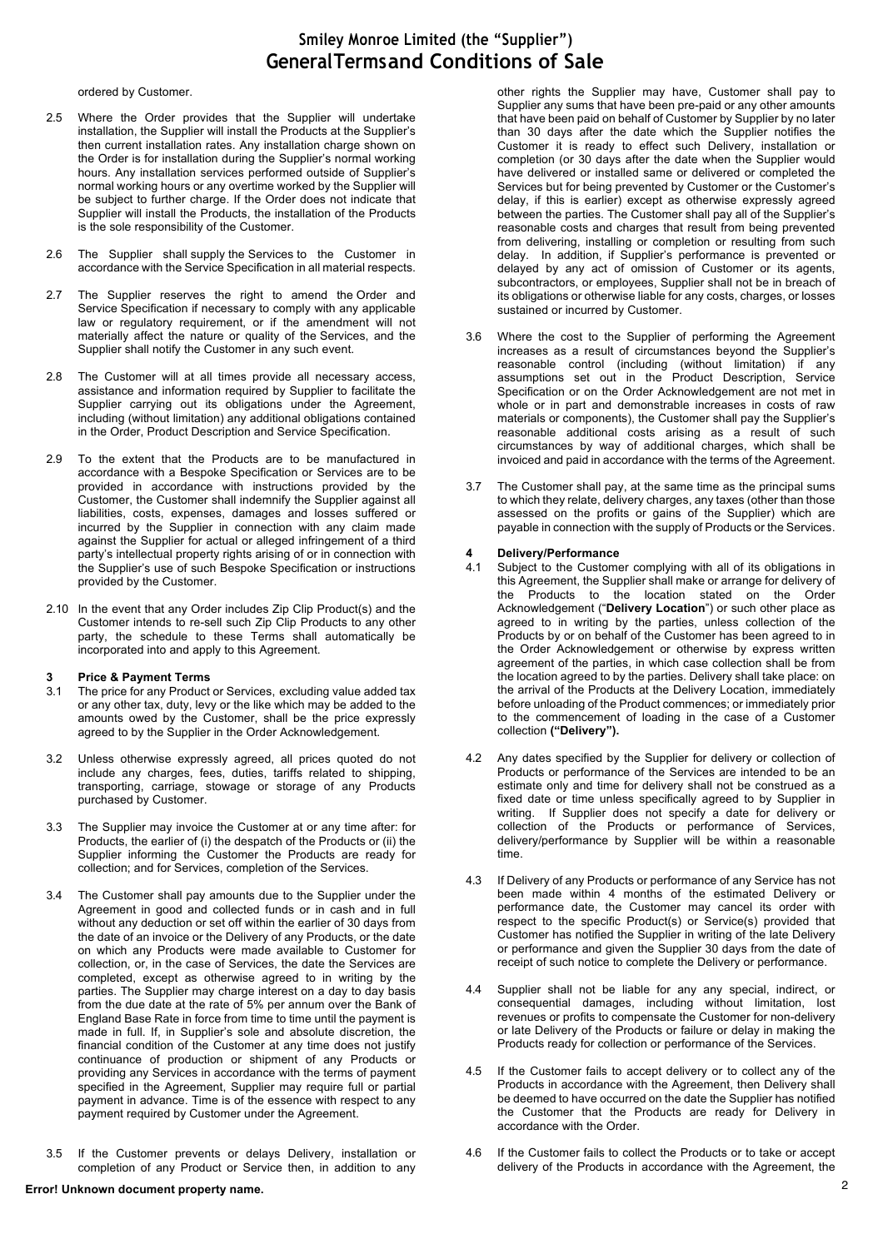ordered by Customer.

- 2.5 Where the Order provides that the Supplier will undertake installation, the Supplier will install the Products at the Supplier's then current installation rates. Any installation charge shown on the Order is for installation during the Supplier's normal working hours. Any installation services performed outside of Supplier's normal working hours or any overtime worked by the Supplier will be subject to further charge. If the Order does not indicate that Supplier will install the Products, the installation of the Products is the sole responsibility of the Customer.
- 2.6 The Supplier shall supply the Services to the Customer in accordance with the Service Specification in all material respects.
- 2.7 The Supplier reserves the right to amend the Order and Service Specification if necessary to comply with any applicable law or regulatory requirement, or if the amendment will not materially affect the nature or quality of the Services, and the Supplier shall notify the Customer in any such event.
- 2.8 The Customer will at all times provide all necessary access, assistance and information required by Supplier to facilitate the Supplier carrying out its obligations under the Agreement, including (without limitation) any additional obligations contained in the Order, Product Description and Service Specification.
- 2.9 To the extent that the Products are to be manufactured in accordance with a Bespoke Specification or Services are to be provided in accordance with instructions provided by the Customer, the Customer shall indemnify the Supplier against all liabilities, costs, expenses, damages and losses suffered or incurred by the Supplier in connection with any claim made against the Supplier for actual or alleged infringement of a third party's intellectual property rights arising of or in connection with the Supplier's use of such Bespoke Specification or instructions provided by the Customer.
- 2.10 In the event that any Order includes Zip Clip Product(s) and the Customer intends to re-sell such Zip Clip Products to any other party, the schedule to these Terms shall automatically be incorporated into and apply to this Agreement.

# **3 Price & Payment Terms**

- The price for any Product or Services, excluding value added tax or any other tax, duty, levy or the like which may be added to the amounts owed by the Customer, shall be the price expressly agreed to by the Supplier in the Order Acknowledgement.
- 3.2 Unless otherwise expressly agreed, all prices quoted do not include any charges, fees, duties, tariffs related to shipping, transporting, carriage, stowage or storage of any Products purchased by Customer.
- 3.3 The Supplier may invoice the Customer at or any time after: for Products, the earlier of (i) the despatch of the Products or (ii) the Supplier informing the Customer the Products are ready for collection; and for Services, completion of the Services.
- 3.4 The Customer shall pay amounts due to the Supplier under the Agreement in good and collected funds or in cash and in full without any deduction or set off within the earlier of 30 days from the date of an invoice or the Delivery of any Products, or the date on which any Products were made available to Customer for collection, or, in the case of Services, the date the Services are completed, except as otherwise agreed to in writing by the parties. The Supplier may charge interest on a day to day basis from the due date at the rate of 5% per annum over the Bank of England Base Rate in force from time to time until the payment is made in full. If, in Supplier's sole and absolute discretion, the financial condition of the Customer at any time does not justify continuance of production or shipment of any Products or providing any Services in accordance with the terms of payment specified in the Agreement, Supplier may require full or partial payment in advance. Time is of the essence with respect to any payment required by Customer under the Agreement.
- 3.5 If the Customer prevents or delays Delivery, installation or completion of any Product or Service then, in addition to any

other rights the Supplier may have, Customer shall pay to Supplier any sums that have been pre-paid or any other amounts that have been paid on behalf of Customer by Supplier by no later than 30 days after the date which the Supplier notifies the Customer it is ready to effect such Delivery, installation or completion (or 30 days after the date when the Supplier would have delivered or installed same or delivered or completed the Services but for being prevented by Customer or the Customer's delay, if this is earlier) except as otherwise expressly agreed between the parties. The Customer shall pay all of the Supplier's reasonable costs and charges that result from being prevented from delivering, installing or completion or resulting from such delay. In addition, if Supplier's performance is prevented or delayed by any act of omission of Customer or its agents, subcontractors, or employees, Supplier shall not be in breach of its obligations or otherwise liable for any costs, charges, or losses sustained or incurred by Customer.

- 3.6 Where the cost to the Supplier of performing the Agreement increases as a result of circumstances beyond the Supplier's reasonable control (including (without limitation) if any assumptions set out in the Product Description, Service Specification or on the Order Acknowledgement are not met in whole or in part and demonstrable increases in costs of raw materials or components), the Customer shall pay the Supplier's reasonable additional costs arising as a result of such circumstances by way of additional charges, which shall be invoiced and paid in accordance with the terms of the Agreement.
- 3.7 The Customer shall pay, at the same time as the principal sums to which they relate, delivery charges, any taxes (other than those assessed on the profits or gains of the Supplier) which are payable in connection with the supply of Products or the Services.

# **4 Delivery/Performance**

- Subject to the Customer complying with all of its obligations in this Agreement, the Supplier shall make or arrange for delivery of the Products to the location stated on the Order Acknowledgement ("**Delivery Location**") or such other place as agreed to in writing by the parties, unless collection of the Products by or on behalf of the Customer has been agreed to in the Order Acknowledgement or otherwise by express written agreement of the parties, in which case collection shall be from the location agreed to by the parties. Delivery shall take place: on the arrival of the Products at the Delivery Location, immediately before unloading of the Product commences; or immediately prior to the commencement of loading in the case of a Customer collection **("Delivery").**
- 4.2 Any dates specified by the Supplier for delivery or collection of Products or performance of the Services are intended to be an estimate only and time for delivery shall not be construed as a fixed date or time unless specifically agreed to by Supplier in writing. If Supplier does not specify a date for delivery or collection of the Products or performance of Services, delivery/performance by Supplier will be within a reasonable time.
- 4.3 If Delivery of any Products or performance of any Service has not been made within 4 months of the estimated Delivery or performance date, the Customer may cancel its order with respect to the specific Product(s) or Service(s) provided that Customer has notified the Supplier in writing of the late Delivery or performance and given the Supplier 30 days from the date of receipt of such notice to complete the Delivery or performance.
- 4.4 Supplier shall not be liable for any any special, indirect, or consequential damages, including without limitation, lost revenues or profits to compensate the Customer for non-delivery or late Delivery of the Products or failure or delay in making the Products ready for collection or performance of the Services.
- 4.5 If the Customer fails to accept delivery or to collect any of the Products in accordance with the Agreement, then Delivery shall be deemed to have occurred on the date the Supplier has notified the Customer that the Products are ready for Delivery in accordance with the Order.
- 4.6 If the Customer fails to collect the Products or to take or accept delivery of the Products in accordance with the Agreement, the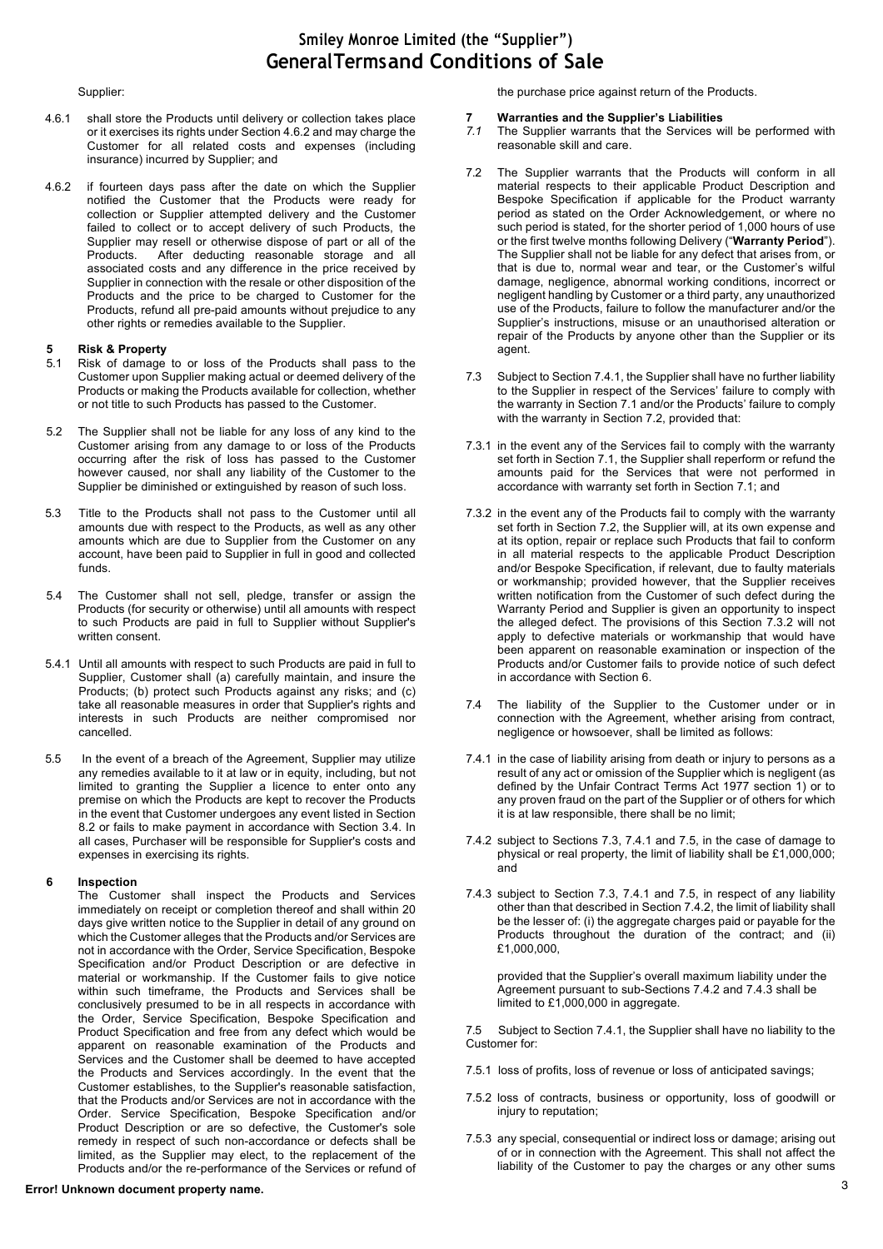### Supplier:

- 4.6.1 shall store the Products until delivery or collection takes place or it exercises its rights under Section 4.6.2 and may charge the Customer for all related costs and expenses (including insurance) incurred by Supplier; and
- 4.6.2 if fourteen days pass after the date on which the Supplier notified the Customer that the Products were ready for collection or Supplier attempted delivery and the Customer failed to collect or to accept delivery of such Products, the Supplier may resell or otherwise dispose of part or all of the<br>Products. After deducting reasonable storage and all After deducting reasonable storage and all associated costs and any difference in the price received by Supplier in connection with the resale or other disposition of the Products and the price to be charged to Customer for the Products, refund all pre-paid amounts without prejudice to any other rights or remedies available to the Supplier.

# **5 Risk & Property**

- Risk of damage to or loss of the Products shall pass to the Customer upon Supplier making actual or deemed delivery of the Products or making the Products available for collection, whether or not title to such Products has passed to the Customer.
- 5.2 The Supplier shall not be liable for any loss of any kind to the Customer arising from any damage to or loss of the Products occurring after the risk of loss has passed to the Customer however caused, nor shall any liability of the Customer to the Supplier be diminished or extinguished by reason of such loss.
- 5.3 Title to the Products shall not pass to the Customer until all amounts due with respect to the Products, as well as any other amounts which are due to Supplier from the Customer on any account, have been paid to Supplier in full in good and collected funds.
- 5.4 The Customer shall not sell, pledge, transfer or assign the Products (for security or otherwise) until all amounts with respect to such Products are paid in full to Supplier without Supplier's written consent.
- 5.4.1 Until all amounts with respect to such Products are paid in full to Supplier, Customer shall (a) carefully maintain, and insure the Products; (b) protect such Products against any risks; and (c) take all reasonable measures in order that Supplier's rights and interests in such Products are neither compromised nor cancelled.
- 5.5 In the event of a breach of the Agreement, Supplier may utilize any remedies available to it at law or in equity, including, but not limited to granting the Supplier a licence to enter onto any premise on which the Products are kept to recover the Products in the event that Customer undergoes any event listed in Section 8.2 or fails to make payment in accordance with Section 3.4. In all cases, Purchaser will be responsible for Supplier's costs and expenses in exercising its rights.

#### **6 Inspection**

The Customer shall inspect the Products and Services immediately on receipt or completion thereof and shall within 20 days give written notice to the Supplier in detail of any ground on which the Customer alleges that the Products and/or Services are not in accordance with the Order, Service Specification, Bespoke Specification and/or Product Description or are defective in material or workmanship. If the Customer fails to give notice within such timeframe, the Products and Services shall be conclusively presumed to be in all respects in accordance with the Order, Service Specification, Bespoke Specification and Product Specification and free from any defect which would be apparent on reasonable examination of the Products and Services and the Customer shall be deemed to have accepted the Products and Services accordingly. In the event that the Customer establishes, to the Supplier's reasonable satisfaction, that the Products and/or Services are not in accordance with the Order. Service Specification, Bespoke Specification and/or Product Description or are so defective, the Customer's sole remedy in respect of such non-accordance or defects shall be limited, as the Supplier may elect, to the replacement of the Products and/or the re-performance of the Services or refund of

## 3 **Error! Unknown document property name.**

the purchase price against return of the Products.

#### **7 Warranties and the Supplier's Liabilities**

- *7.1* The Supplier warrants that the Services will be performed with reasonable skill and care.
- 7.2 The Supplier warrants that the Products will conform in all material respects to their applicable Product Description and Bespoke Specification if applicable for the Product warranty period as stated on the Order Acknowledgement, or where no such period is stated, for the shorter period of 1,000 hours of use or the first twelve months following Delivery ("**Warranty Period**"). The Supplier shall not be liable for any defect that arises from, or that is due to, normal wear and tear, or the Customer's wilful damage, negligence, abnormal working conditions, incorrect or negligent handling by Customer or a third party, any unauthorized use of the Products, failure to follow the manufacturer and/or the Supplier's instructions, misuse or an unauthorised alteration or repair of the Products by anyone other than the Supplier or its agent.
- 7.3 Subject to Section 7.4.1, the Supplier shall have no further liability to the Supplier in respect of the Services' failure to comply with the warranty in Section 7.1 and/or the Products' failure to comply with the warranty in Section 7.2, provided that:
- 7.3.1 in the event any of the Services fail to comply with the warranty set forth in Section 7.1, the Supplier shall reperform or refund the amounts paid for the Services that were not performed in accordance with warranty set forth in Section 7.1; and
- 7.3.2 in the event any of the Products fail to comply with the warranty set forth in Section 7.2, the Supplier will, at its own expense and at its option, repair or replace such Products that fail to conform in all material respects to the applicable Product Description and/or Bespoke Specification, if relevant, due to faulty materials or workmanship; provided however, that the Supplier receives written notification from the Customer of such defect during the Warranty Period and Supplier is given an opportunity to inspect the alleged defect. The provisions of this Section 7.3.2 will not apply to defective materials or workmanship that would have been apparent on reasonable examination or inspection of the Products and/or Customer fails to provide notice of such defect in accordance with Section 6.
- 7.4 The liability of the Supplier to the Customer under or in connection with the Agreement, whether arising from contract, negligence or howsoever, shall be limited as follows:
- 7.4.1 in the case of liability arising from death or injury to persons as a result of any act or omission of the Supplier which is negligent (as defined by the Unfair Contract Terms Act 1977 section 1) or to any proven fraud on the part of the Supplier or of others for which it is at law responsible, there shall be no limit;
- 7.4.2 subject to Sections 7.3, 7.4.1 and 7.5, in the case of damage to physical or real property, the limit of liability shall be £1,000,000; and
- 7.4.3 subject to Section 7.3, 7.4.1 and 7.5, in respect of any liability other than that described in Section 7.4.2, the limit of liability shall be the lesser of: (i) the aggregate charges paid or payable for the Products throughout the duration of the contract; and (ii) £1,000,000,

provided that the Supplier's overall maximum liability under the Agreement pursuant to sub-Sections 7.4.2 and 7.4.3 shall be limited to £1,000,000 in aggregate.

7.5 Subject to Section 7.4.1, the Supplier shall have no liability to the Customer for:

- 7.5.1 loss of profits, loss of revenue or loss of anticipated savings;
- 7.5.2 loss of contracts, business or opportunity, loss of goodwill or injury to reputation;
- 7.5.3 any special, consequential or indirect loss or damage; arising out of or in connection with the Agreement. This shall not affect the liability of the Customer to pay the charges or any other sums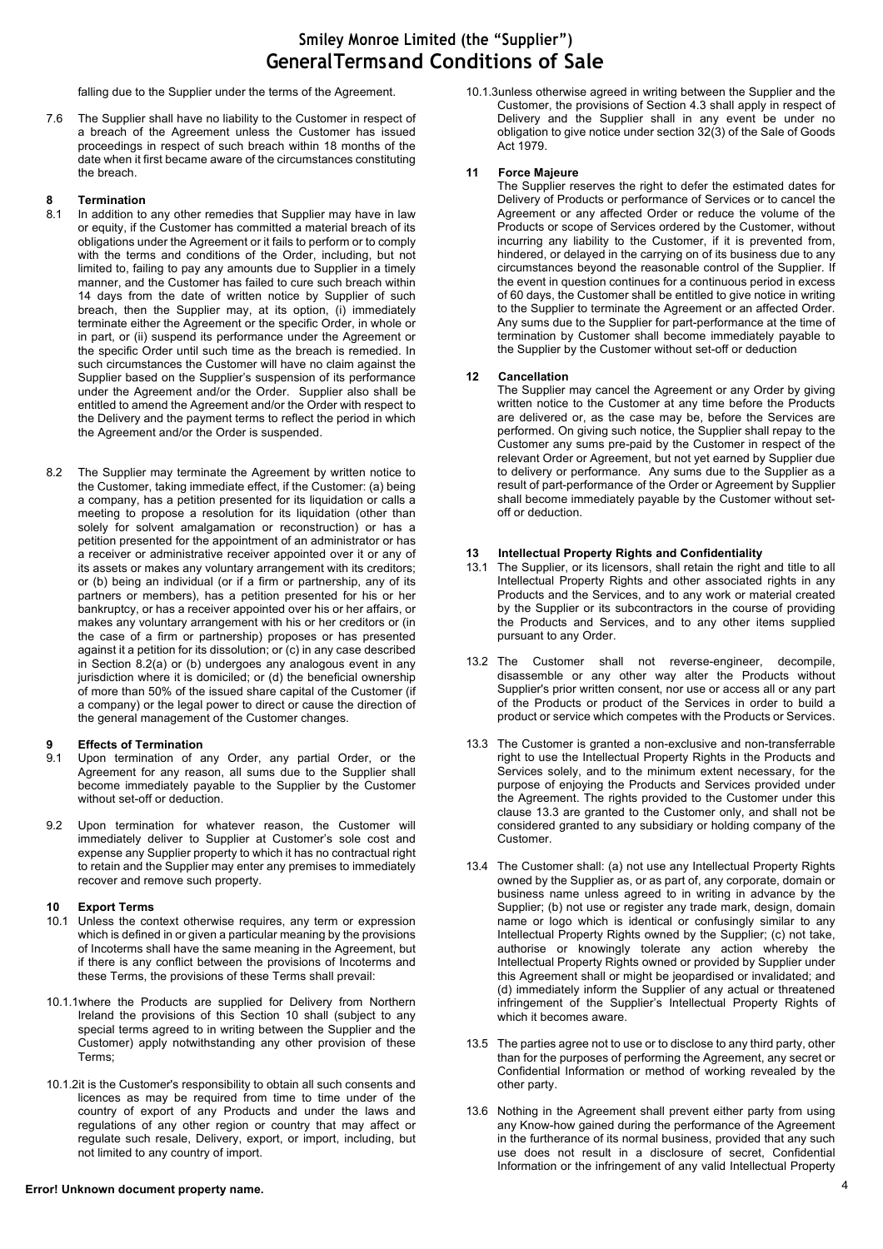falling due to the Supplier under the terms of the Agreement.

7.6 The Supplier shall have no liability to the Customer in respect of a breach of the Agreement unless the Customer has issued proceedings in respect of such breach within 18 months of the date when it first became aware of the circumstances constituting the breach.

# **8 Termination**

- In addition to any other remedies that Supplier may have in law or equity, if the Customer has committed a material breach of its obligations under the Agreement or it fails to perform or to comply with the terms and conditions of the Order, including, but not limited to, failing to pay any amounts due to Supplier in a timely manner, and the Customer has failed to cure such breach within 14 days from the date of written notice by Supplier of such breach, then the Supplier may, at its option, (i) immediately terminate either the Agreement or the specific Order, in whole or in part, or (ii) suspend its performance under the Agreement or the specific Order until such time as the breach is remedied. In such circumstances the Customer will have no claim against the Supplier based on the Supplier's suspension of its performance under the Agreement and/or the Order. Supplier also shall be entitled to amend the Agreement and/or the Order with respect to the Delivery and the payment terms to reflect the period in which the Agreement and/or the Order is suspended.
- 8.2 The Supplier may terminate the Agreement by written notice to the Customer, taking immediate effect, if the Customer: (a) being a company, has a petition presented for its liquidation or calls a meeting to propose a resolution for its liquidation (other than solely for solvent amalgamation or reconstruction) or has a petition presented for the appointment of an administrator or has a receiver or administrative receiver appointed over it or any of its assets or makes any voluntary arrangement with its creditors; or (b) being an individual (or if a firm or partnership, any of its partners or members), has a petition presented for his or her bankruptcy, or has a receiver appointed over his or her affairs, or makes any voluntary arrangement with his or her creditors or (in the case of a firm or partnership) proposes or has presented against it a petition for its dissolution; or (c) in any case described in Section 8.2(a) or (b) undergoes any analogous event in any jurisdiction where it is domiciled; or (d) the beneficial ownership of more than 50% of the issued share capital of the Customer (if a company) or the legal power to direct or cause the direction of the general management of the Customer changes.

# **9 Effects of Termination**<br>**9.1** Upon termination of a

- Upon termination of any Order, any partial Order, or the Agreement for any reason, all sums due to the Supplier shall become immediately payable to the Supplier by the Customer without set-off or deduction.
- 9.2 Upon termination for whatever reason, the Customer will immediately deliver to Supplier at Customer's sole cost and expense any Supplier property to which it has no contractual right to retain and the Supplier may enter any premises to immediately recover and remove such property.

## **10 Export Terms**

- 10.1 Unless the context otherwise requires, any term or expression which is defined in or given a particular meaning by the provisions of Incoterms shall have the same meaning in the Agreement, but if there is any conflict between the provisions of Incoterms and these Terms, the provisions of these Terms shall prevail:
- 10.1.1where the Products are supplied for Delivery from Northern Ireland the provisions of this Section 10 shall (subject to any special terms agreed to in writing between the Supplier and the Customer) apply notwithstanding any other provision of these Terms;
- 10.1.2it is the Customer's responsibility to obtain all such consents and licences as may be required from time to time under of the country of export of any Products and under the laws and regulations of any other region or country that may affect or regulate such resale, Delivery, export, or import, including, but not limited to any country of import.

## 4 **Error! Unknown document property name.**

10.1.3unless otherwise agreed in writing between the Supplier and the Customer, the provisions of Section 4.3 shall apply in respect of Delivery and the Supplier shall in any event be under no obligation to give notice under section 32(3) of the Sale of Goods Act 1979.

#### **11 Force Majeure**

The Supplier reserves the right to defer the estimated dates for Delivery of Products or performance of Services or to cancel the Agreement or any affected Order or reduce the volume of the Products or scope of Services ordered by the Customer, without incurring any liability to the Customer, if it is prevented from, hindered, or delayed in the carrying on of its business due to any circumstances beyond the reasonable control of the Supplier. If the event in question continues for a continuous period in excess of 60 days, the Customer shall be entitled to give notice in writing to the Supplier to terminate the Agreement or an affected Order. Any sums due to the Supplier for part-performance at the time of termination by Customer shall become immediately payable to the Supplier by the Customer without set-off or deduction

### **12 Cancellation**

The Supplier may cancel the Agreement or any Order by giving written notice to the Customer at any time before the Products are delivered or, as the case may be, before the Services are performed. On giving such notice, the Supplier shall repay to the Customer any sums pre-paid by the Customer in respect of the relevant Order or Agreement, but not yet earned by Supplier due to delivery or performance. Any sums due to the Supplier as a result of part-performance of the Order or Agreement by Supplier shall become immediately payable by the Customer without setoff or deduction.

#### **13 Intellectual Property Rights and Confidentiality**

- 13.1 The Supplier, or its licensors, shall retain the right and title to all Intellectual Property Rights and other associated rights in any Products and the Services, and to any work or material created by the Supplier or its subcontractors in the course of providing the Products and Services, and to any other items supplied pursuant to any Order.
- 13.2 The Customer shall not reverse-engineer, decompile, disassemble or any other way alter the Products without Supplier's prior written consent, nor use or access all or any part of the Products or product of the Services in order to build a product or service which competes with the Products or Services.
- 13.3 The Customer is granted a non-exclusive and non-transferrable right to use the Intellectual Property Rights in the Products and Services solely, and to the minimum extent necessary, for the purpose of enjoying the Products and Services provided under the Agreement. The rights provided to the Customer under this clause 13.3 are granted to the Customer only, and shall not be considered granted to any subsidiary or holding company of the Customer.
- 13.4 The Customer shall: (a) not use any Intellectual Property Rights owned by the Supplier as, or as part of, any corporate, domain or business name unless agreed to in writing in advance by the Supplier; (b) not use or register any trade mark, design, domain name or logo which is identical or confusingly similar to any Intellectual Property Rights owned by the Supplier; (c) not take, authorise or knowingly tolerate any action whereby the Intellectual Property Rights owned or provided by Supplier under this Agreement shall or might be jeopardised or invalidated; and (d) immediately inform the Supplier of any actual or threatened infringement of the Supplier's Intellectual Property Rights of which it becomes aware.
- 13.5 The parties agree not to use or to disclose to any third party, other than for the purposes of performing the Agreement, any secret or Confidential Information or method of working revealed by the other party.
- 13.6 Nothing in the Agreement shall prevent either party from using any Know-how gained during the performance of the Agreement in the furtherance of its normal business, provided that any such use does not result in a disclosure of secret, Confidential Information or the infringement of any valid Intellectual Property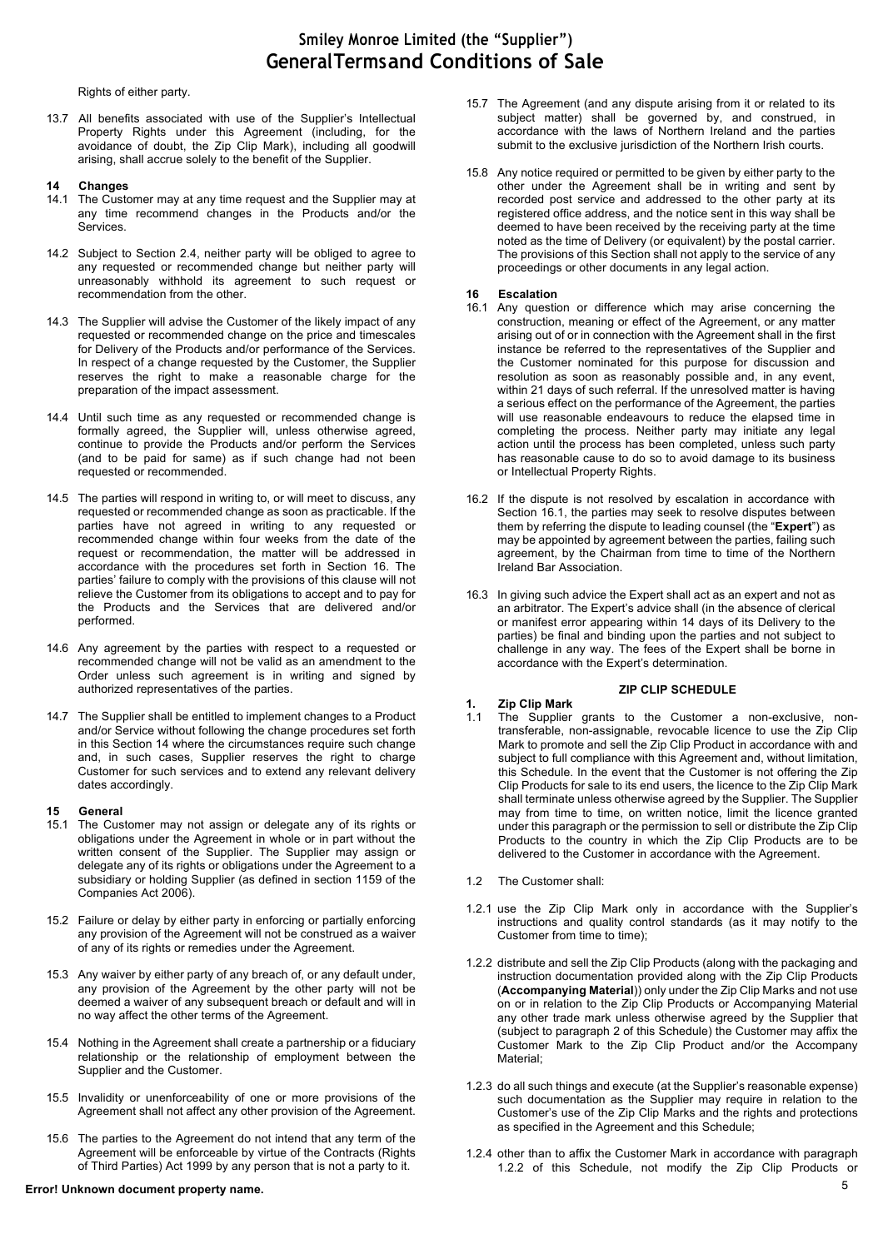Rights of either party.

13.7 All benefits associated with use of the Supplier's Intellectual Property Rights under this Agreement (including, for the avoidance of doubt, the Zip Clip Mark), including all goodwill arising, shall accrue solely to the benefit of the Supplier.

#### **14 Changes**

- 14.1 The Customer may at any time request and the Supplier may at any time recommend changes in the Products and/or the Services.
- 14.2 Subject to Section 2.4, neither party will be obliged to agree to any requested or recommended change but neither party will unreasonably withhold its agreement to such request or recommendation from the other.
- 14.3 The Supplier will advise the Customer of the likely impact of any requested or recommended change on the price and timescales for Delivery of the Products and/or performance of the Services. In respect of a change requested by the Customer, the Supplier reserves the right to make a reasonable charge for the preparation of the impact assessment.
- 14.4 Until such time as any requested or recommended change is formally agreed, the Supplier will, unless otherwise agreed, continue to provide the Products and/or perform the Services (and to be paid for same) as if such change had not been requested or recommended.
- 14.5 The parties will respond in writing to, or will meet to discuss, any requested or recommended change as soon as practicable. If the parties have not agreed in writing to any requested or recommended change within four weeks from the date of the request or recommendation, the matter will be addressed in accordance with the procedures set forth in Section 16. The parties' failure to comply with the provisions of this clause will not relieve the Customer from its obligations to accept and to pay for the Products and the Services that are delivered and/or performed.
- 14.6 Any agreement by the parties with respect to a requested or recommended change will not be valid as an amendment to the Order unless such agreement is in writing and signed by authorized representatives of the parties.
- 14.7 The Supplier shall be entitled to implement changes to a Product and/or Service without following the change procedures set forth in this Section 14 where the circumstances require such change and, in such cases, Supplier reserves the right to charge Customer for such services and to extend any relevant delivery dates accordingly.

#### **15 General**

- 15.1 The Customer may not assign or delegate any of its rights or obligations under the Agreement in whole or in part without the written consent of the Supplier. The Supplier may assign or delegate any of its rights or obligations under the Agreement to a subsidiary or holding Supplier (as defined in section 1159 of the Companies Act 2006).
- 15.2 Failure or delay by either party in enforcing or partially enforcing any provision of the Agreement will not be construed as a waiver of any of its rights or remedies under the Agreement.
- 15.3 Any waiver by either party of any breach of, or any default under, any provision of the Agreement by the other party will not be deemed a waiver of any subsequent breach or default and will in no way affect the other terms of the Agreement.
- 15.4 Nothing in the Agreement shall create a partnership or a fiduciary relationship or the relationship of employment between the Supplier and the Customer.
- 15.5 Invalidity or unenforceability of one or more provisions of the Agreement shall not affect any other provision of the Agreement.
- 15.6 The parties to the Agreement do not intend that any term of the Agreement will be enforceable by virtue of the Contracts (Rights of Third Parties) Act 1999 by any person that is not a party to it.

## 5 **Error! Unknown document property name.**

- 15.7 The Agreement (and any dispute arising from it or related to its subject matter) shall be governed by, and construed, in accordance with the laws of Northern Ireland and the parties submit to the exclusive jurisdiction of the Northern Irish courts.
- 15.8 Any notice required or permitted to be given by either party to the other under the Agreement shall be in writing and sent by recorded post service and addressed to the other party at its registered office address, and the notice sent in this way shall be deemed to have been received by the receiving party at the time noted as the time of Delivery (or equivalent) by the postal carrier. The provisions of this Section shall not apply to the service of any proceedings or other documents in any legal action.

#### **16 Escalation**

- 16.1 Any question or difference which may arise concerning the construction, meaning or effect of the Agreement, or any matter arising out of or in connection with the Agreement shall in the first instance be referred to the representatives of the Supplier and the Customer nominated for this purpose for discussion and resolution as soon as reasonably possible and, in any event, within 21 days of such referral. If the unresolved matter is having a serious effect on the performance of the Agreement, the parties will use reasonable endeavours to reduce the elapsed time in completing the process. Neither party may initiate any legal action until the process has been completed, unless such party has reasonable cause to do so to avoid damage to its business or Intellectual Property Rights.
- 16.2 If the dispute is not resolved by escalation in accordance with Section 16.1, the parties may seek to resolve disputes between them by referring the dispute to leading counsel (the "**Expert**") as may be appointed by agreement between the parties, failing such agreement, by the Chairman from time to time of the Northern Ireland Bar Association.
- 16.3 In giving such advice the Expert shall act as an expert and not as an arbitrator. The Expert's advice shall (in the absence of clerical or manifest error appearing within 14 days of its Delivery to the parties) be final and binding upon the parties and not subject to challenge in any way. The fees of the Expert shall be borne in accordance with the Expert's determination.

#### **ZIP CLIP SCHEDULE**

## **1. Zip Clip Mark**

- 1.1 The Supplier grants to the Customer a non-exclusive, nontransferable, non-assignable, revocable licence to use the Zip Clip Mark to promote and sell the Zip Clip Product in accordance with and subject to full compliance with this Agreement and, without limitation, this Schedule. In the event that the Customer is not offering the Zip Clip Products for sale to its end users, the licence to the Zip Clip Mark shall terminate unless otherwise agreed by the Supplier. The Supplier may from time to time, on written notice, limit the licence granted under this paragraph or the permission to sell or distribute the Zip Clip Products to the country in which the Zip Clip Products are to be delivered to the Customer in accordance with the Agreement.
- 1.2 The Customer shall:
- 1.2.1 use the Zip Clip Mark only in accordance with the Supplier's instructions and quality control standards (as it may notify to the Customer from time to time);
- 1.2.2 distribute and sell the Zip Clip Products (along with the packaging and instruction documentation provided along with the Zip Clip Products (**Accompanying Material**)) only under the Zip Clip Marks and not use on or in relation to the Zip Clip Products or Accompanying Material any other trade mark unless otherwise agreed by the Supplier that (subject to paragraph 2 of this Schedule) the Customer may affix the Customer Mark to the Zip Clip Product and/or the Accompany Material;
- 1.2.3 do all such things and execute (at the Supplier's reasonable expense) such documentation as the Supplier may require in relation to the Customer's use of the Zip Clip Marks and the rights and protections as specified in the Agreement and this Schedule;
- 1.2.4 other than to affix the Customer Mark in accordance with paragraph 1.2.2 of this Schedule, not modify the Zip Clip Products or